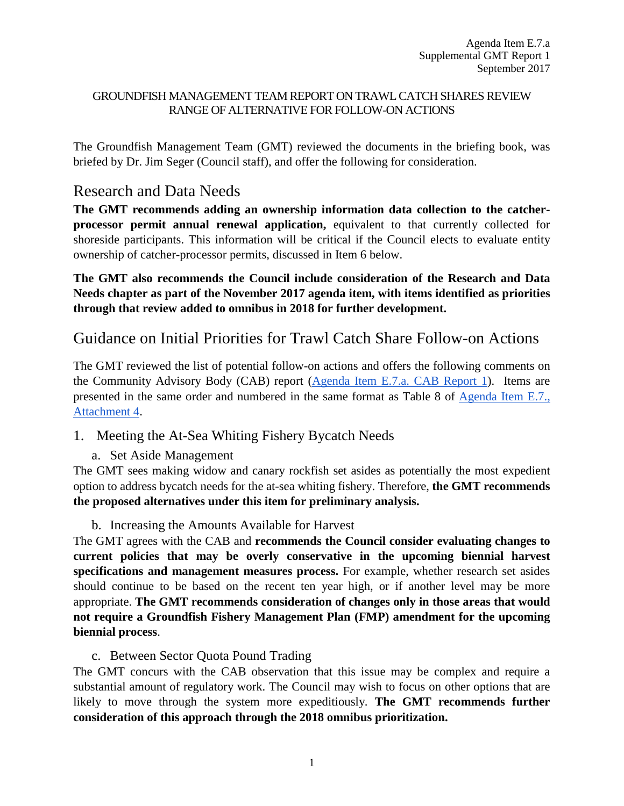### GROUNDFISH MANAGEMENT TEAM REPORT ON TRAWL CATCH SHARES REVIEW RANGE OF ALTERNATIVE FOR FOLLOW-ON ACTIONS

The Groundfish Management Team (GMT) reviewed the documents in the briefing book, was briefed by Dr. Jim Seger (Council staff), and offer the following for consideration.

# Research and Data Needs

**The GMT recommends adding an ownership information data collection to the catcherprocessor permit annual renewal application,** equivalent to that currently collected for shoreside participants. This information will be critical if the Council elects to evaluate entity ownership of catcher-processor permits, discussed in Item 6 below.

**The GMT also recommends the Council include consideration of the Research and Data Needs chapter as part of the November 2017 agenda item, with items identified as priorities through that review added to omnibus in 2018 for further development.** 

# Guidance on Initial Priorities for Trawl Catch Share Follow-on Actions

The GMT reviewed the list of potential follow-on actions and offers the following comments on the Community Advisory Body (CAB) report [\(Agenda Item E.7.a. CAB Report 1\)](http://www.pcouncil.org/wp-content/uploads/2017/08/E7a_CAB_Rpt1_SEPT2017BB.pdf). Items are presented in the same order and numbered in the same format as Table 8 of [Agenda Item E.7.,](http://www.pcouncil.org/wp-content/uploads/2017/08/E7_Att4_Follow-on_Action_DiscussionDoc_SEPT2017BB.pdf)  [Attachment 4.](http://www.pcouncil.org/wp-content/uploads/2017/08/E7_Att4_Follow-on_Action_DiscussionDoc_SEPT2017BB.pdf)

- 1. Meeting the At-Sea Whiting Fishery Bycatch Needs
	- a. Set Aside Management

The GMT sees making widow and canary rockfish set asides as potentially the most expedient option to address bycatch needs for the at-sea whiting fishery. Therefore, **the GMT recommends the proposed alternatives under this item for preliminary analysis.** 

b. Increasing the Amounts Available for Harvest

The GMT agrees with the CAB and **recommends the Council consider evaluating changes to current policies that may be overly conservative in the upcoming biennial harvest specifications and management measures process.** For example, whether research set asides should continue to be based on the recent ten year high, or if another level may be more appropriate. **The GMT recommends consideration of changes only in those areas that would not require a Groundfish Fishery Management Plan (FMP) amendment for the upcoming biennial process**.

c. Between Sector Quota Pound Trading

The GMT concurs with the CAB observation that this issue may be complex and require a substantial amount of regulatory work. The Council may wish to focus on other options that are likely to move through the system more expeditiously. **The GMT recommends further consideration of this approach through the 2018 omnibus prioritization.**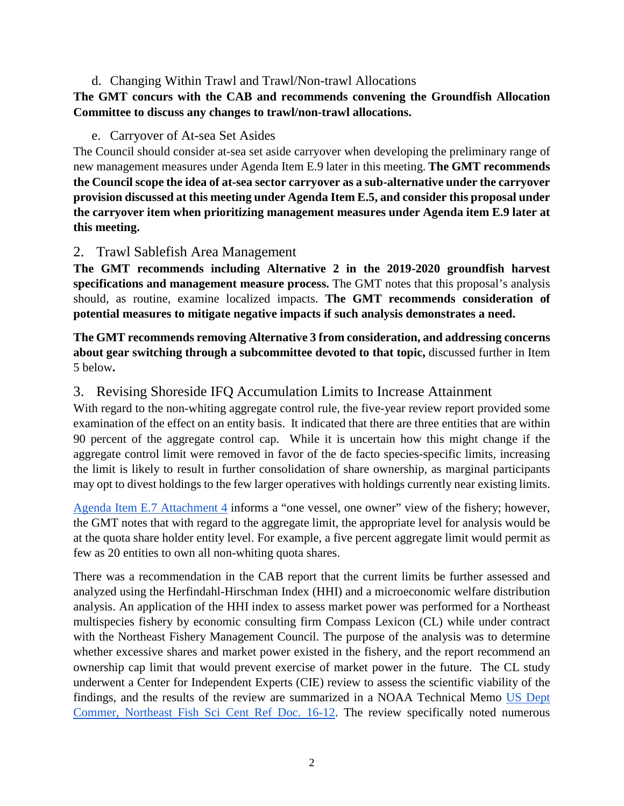### d. Changing Within Trawl and Trawl/Non-trawl Allocations

## **The GMT concurs with the CAB and recommends convening the Groundfish Allocation Committee to discuss any changes to trawl/non-trawl allocations.**

### e. Carryover of At-sea Set Asides

The Council should consider at-sea set aside carryover when developing the preliminary range of new management measures under Agenda Item E.9 later in this meeting. **The GMT recommends the Council scope the idea of at-sea sector carryover as a sub-alternative under the carryover provision discussed at this meeting under Agenda Item E.5, and consider this proposal under the carryover item when prioritizing management measures under Agenda item E.9 later at this meeting.**

### 2. Trawl Sablefish Area Management

**The GMT recommends including Alternative 2 in the 2019-2020 groundfish harvest specifications and management measure process.** The GMT notes that this proposal's analysis should, as routine, examine localized impacts. **The GMT recommends consideration of potential measures to mitigate negative impacts if such analysis demonstrates a need.**

**The GMT recommends removing Alternative 3 from consideration, and addressing concerns about gear switching through a subcommittee devoted to that topic,** discussed further in Item 5 below**.** 

## 3. Revising Shoreside IFQ Accumulation Limits to Increase Attainment

With regard to the non-whiting aggregate control rule, the five-year review report provided some examination of the effect on an entity basis. It indicated that there are three entities that are within 90 percent of the aggregate control cap. While it is uncertain how this might change if the aggregate control limit were removed in favor of the de facto species-specific limits, increasing the limit is likely to result in further consolidation of share ownership, as marginal participants may opt to divest holdings to the few larger operatives with holdings currently near existing limits.

[Agenda Item E.7 Attachment 4](http://www.pcouncil.org/wp-content/uploads/2017/08/E7_Att4_Follow-on_Action_DiscussionDoc_SEPT2017BB.pdf) informs a "one vessel, one owner" view of the fishery; however, the GMT notes that with regard to the aggregate limit, the appropriate level for analysis would be at the quota share holder entity level. For example, a five percent aggregate limit would permit as few as 20 entities to own all non-whiting quota shares.

There was a recommendation in the CAB report that the current limits be further assessed and analyzed using the Herfindahl-Hirschman Index (HHI) and a microeconomic welfare distribution analysis. An application of the HHI index to assess market power was performed for a Northeast multispecies fishery by economic consulting firm Compass Lexicon (CL) while under contract with the Northeast Fishery Management Council. The purpose of the analysis was to determine whether excessive shares and market power existed in the fishery, and the report recommend an ownership cap limit that would prevent exercise of market power in the future. The CL study underwent a Center for Independent Experts (CIE) review to assess the scientific viability of the findings, and the results of the review are summarized in a NOAA Technical Memo [US Dept](https://www.nefsc.noaa.gov/publications/crd/crd1612/crd1612.pdf)  [Commer, Northeast Fish Sci Cent Ref Doc. 16-12.](https://www.nefsc.noaa.gov/publications/crd/crd1612/crd1612.pdf) The review specifically noted numerous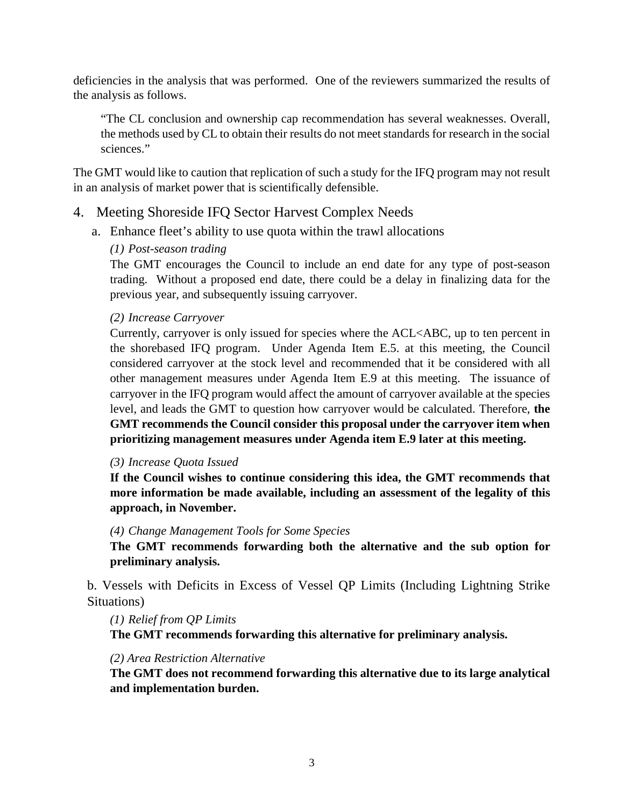deficiencies in the analysis that was performed. One of the reviewers summarized the results of the analysis as follows.

"The CL conclusion and ownership cap recommendation has several weaknesses. Overall, the methods used by CL to obtain their results do not meet standards for research in the social sciences."

The GMT would like to caution that replication of such a study for the IFQ program may not result in an analysis of market power that is scientifically defensible.

## 4. Meeting Shoreside IFQ Sector Harvest Complex Needs

a. Enhance fleet's ability to use quota within the trawl allocations

#### *(1) Post-season trading*

The GMT encourages the Council to include an end date for any type of post-season trading. Without a proposed end date, there could be a delay in finalizing data for the previous year, and subsequently issuing carryover.

#### *(2) Increase Carryover*

Currently, carryover is only issued for species where the ACL<ABC, up to ten percent in the shorebased IFQ program. Under Agenda Item E.5. at this meeting, the Council considered carryover at the stock level and recommended that it be considered with all other management measures under Agenda Item E.9 at this meeting. The issuance of carryover in the IFQ program would affect the amount of carryover available at the species level, and leads the GMT to question how carryover would be calculated. Therefore, **the GMT recommends the Council consider this proposal under the carryover item when prioritizing management measures under Agenda item E.9 later at this meeting.** 

*(3) Increase Quota Issued*

**If the Council wishes to continue considering this idea, the GMT recommends that more information be made available, including an assessment of the legality of this approach, in November.** 

#### *(4) Change Management Tools for Some Species*

**The GMT recommends forwarding both the alternative and the sub option for preliminary analysis.** 

b. Vessels with Deficits in Excess of Vessel QP Limits (Including Lightning Strike Situations)

#### *(1) Relief from QP Limits*

**The GMT recommends forwarding this alternative for preliminary analysis.** 

#### *(2) Area Restriction Alternative*

**The GMT does not recommend forwarding this alternative due to its large analytical and implementation burden.**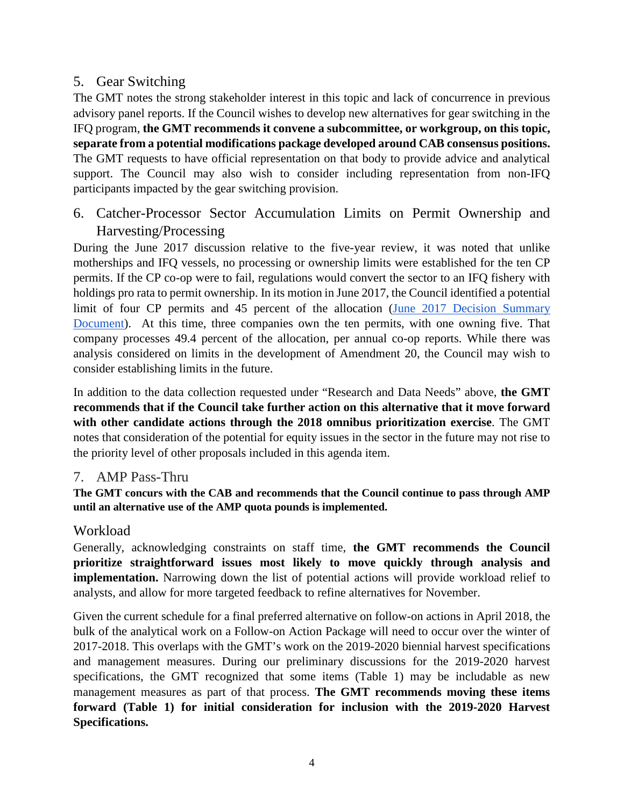## 5. Gear Switching

The GMT notes the strong stakeholder interest in this topic and lack of concurrence in previous advisory panel reports. If the Council wishes to develop new alternatives for gear switching in the IFQ program, **the GMT recommends it convene a subcommittee, or workgroup, on this topic, separate from a potential modifications package developed around CAB consensus positions.**  The GMT requests to have official representation on that body to provide advice and analytical support. The Council may also wish to consider including representation from non-IFQ participants impacted by the gear switching provision.

6. Catcher-Processor Sector Accumulation Limits on Permit Ownership and Harvesting/Processing

During the June 2017 discussion relative to the five-year review, it was noted that unlike motherships and IFQ vessels, no processing or ownership limits were established for the ten CP permits. If the CP co-op were to fail, regulations would convert the sector to an IFQ fishery with holdings pro rata to permit ownership. In its motion in June 2017, the Council identified a potential limit of four CP permits and 45 percent of the allocation [\(June 2017 Decision Summary](http://www.pcouncil.org/wp-content/uploads/2017/06/JuneDecisionSummaryDocument.pdf)  [Document\)](http://www.pcouncil.org/wp-content/uploads/2017/06/JuneDecisionSummaryDocument.pdf). At this time, three companies own the ten permits, with one owning five. That company processes 49.4 percent of the allocation, per annual co-op reports. While there was analysis considered on limits in the development of Amendment 20, the Council may wish to consider establishing limits in the future.

In addition to the data collection requested under "Research and Data Needs" above, **the GMT recommends that if the Council take further action on this alternative that it move forward with other candidate actions through the 2018 omnibus prioritization exercise**. The GMT notes that consideration of the potential for equity issues in the sector in the future may not rise to the priority level of other proposals included in this agenda item.

## 7. AMP Pass-Thru

**The GMT concurs with the CAB and recommends that the Council continue to pass through AMP until an alternative use of the AMP quota pounds is implemented.**

## Workload

Generally, acknowledging constraints on staff time, **the GMT recommends the Council prioritize straightforward issues most likely to move quickly through analysis and implementation.** Narrowing down the list of potential actions will provide workload relief to analysts, and allow for more targeted feedback to refine alternatives for November.

Given the current schedule for a final preferred alternative on follow-on actions in April 2018, the bulk of the analytical work on a Follow-on Action Package will need to occur over the winter of 2017-2018. This overlaps with the GMT's work on the 2019-2020 biennial harvest specifications and management measures. During our preliminary discussions for the 2019-2020 harvest specifications, the GMT recognized that some items (Table 1) may be includable as new management measures as part of that process. **The GMT recommends moving these items forward (Table 1) for initial consideration for inclusion with the 2019-2020 Harvest Specifications.**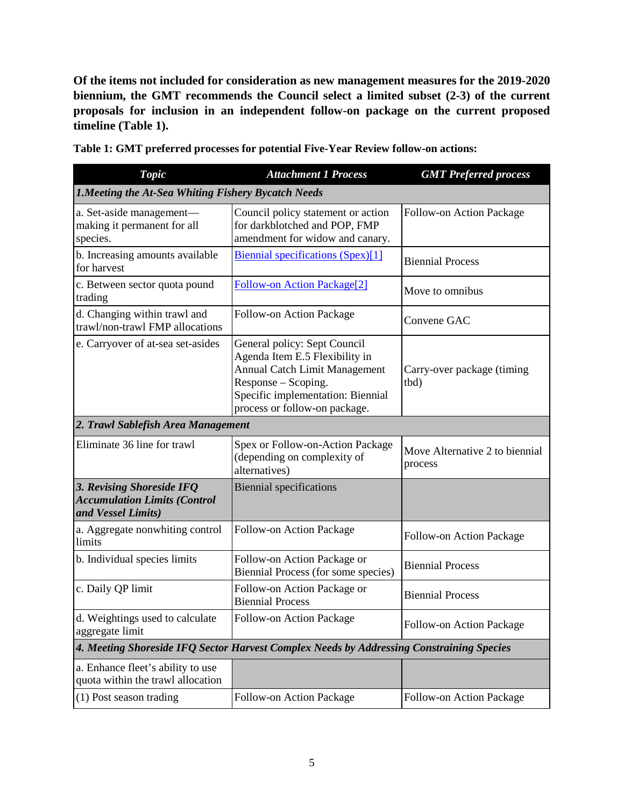**Of the items not included for consideration as new management measures for the 2019-2020 biennium, the GMT recommends the Council select a limited subset (2-3) of the current proposals for inclusion in an independent follow-on package on the current proposed timeline (Table 1).**

| Topic                                                                                    | <b>Attachment 1 Process</b>                                                                                                                                                                  | <b>GMT</b> Preferred process              |  |  |
|------------------------------------------------------------------------------------------|----------------------------------------------------------------------------------------------------------------------------------------------------------------------------------------------|-------------------------------------------|--|--|
| <b>1. Meeting the At-Sea Whiting Fishery Bycatch Needs</b>                               |                                                                                                                                                                                              |                                           |  |  |
| a. Set-aside management-<br>making it permanent for all<br>species.                      | Council policy statement or action<br>for darkblotched and POP, FMP<br>amendment for widow and canary.                                                                                       | Follow-on Action Package                  |  |  |
| b. Increasing amounts available<br>for harvest                                           | Biennial specifications (Spex)[1]                                                                                                                                                            | <b>Biennial Process</b>                   |  |  |
| c. Between sector quota pound<br>trading                                                 | Follow-on Action Package[2]                                                                                                                                                                  | Move to omnibus                           |  |  |
| d. Changing within trawl and<br>trawl/non-trawl FMP allocations                          | Follow-on Action Package                                                                                                                                                                     | Convene GAC                               |  |  |
| e. Carryover of at-sea set-asides                                                        | General policy: Sept Council<br>Agenda Item E.5 Flexibility in<br>Annual Catch Limit Management<br>Response - Scoping.<br>Specific implementation: Biennial<br>process or follow-on package. | Carry-over package (timing<br>tbd)        |  |  |
| 2. Trawl Sablefish Area Management                                                       |                                                                                                                                                                                              |                                           |  |  |
| Eliminate 36 line for trawl                                                              | Spex or Follow-on-Action Package<br>(depending on complexity of<br>alternatives)                                                                                                             | Move Alternative 2 to biennial<br>process |  |  |
| 3. Revising Shoreside IFQ<br><b>Accumulation Limits (Control</b><br>and Vessel Limits)   | <b>Biennial specifications</b>                                                                                                                                                               |                                           |  |  |
| a. Aggregate nonwhiting control<br>limits                                                | Follow-on Action Package                                                                                                                                                                     | Follow-on Action Package                  |  |  |
| b. Individual species limits                                                             | Follow-on Action Package or<br>Biennial Process (for some species)                                                                                                                           | <b>Biennial Process</b>                   |  |  |
| c. Daily QP limit                                                                        | Follow-on Action Package or<br><b>Biennial Process</b>                                                                                                                                       | <b>Biennial Process</b>                   |  |  |
| d. Weightings used to calculate<br>aggregate limit                                       | Follow-on Action Package                                                                                                                                                                     | Follow-on Action Package                  |  |  |
| 4. Meeting Shoreside IFO Sector Harvest Complex Needs by Addressing Constraining Species |                                                                                                                                                                                              |                                           |  |  |
| a. Enhance fleet's ability to use<br>quota within the trawl allocation                   |                                                                                                                                                                                              |                                           |  |  |
| (1) Post season trading                                                                  | Follow-on Action Package                                                                                                                                                                     | Follow-on Action Package                  |  |  |

**Table 1: GMT preferred processes for potential Five-Year Review follow-on actions:**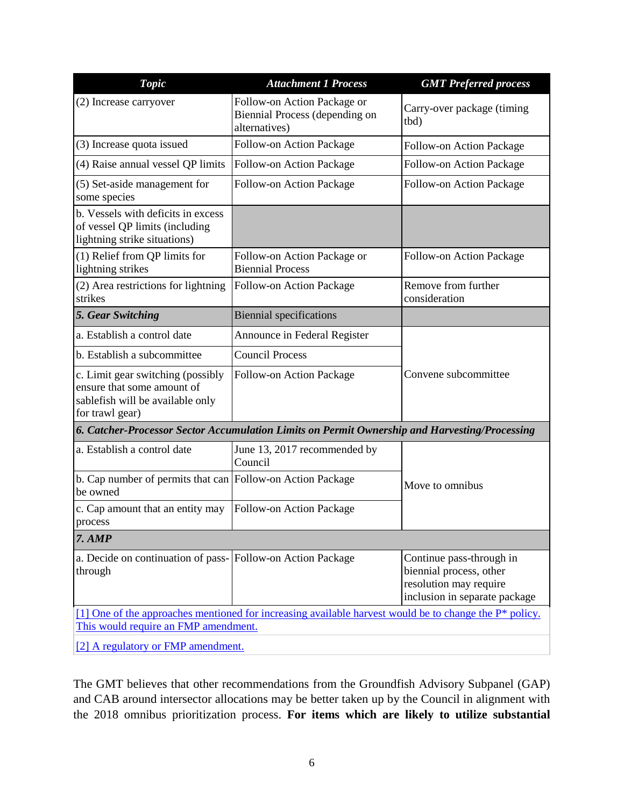| <b>Topic</b>                                                                                                           | <b>Attachment 1 Process</b>                                                                               | <b>GMT</b> Preferred process                                                                                   |  |  |
|------------------------------------------------------------------------------------------------------------------------|-----------------------------------------------------------------------------------------------------------|----------------------------------------------------------------------------------------------------------------|--|--|
| (2) Increase carryover                                                                                                 | Follow-on Action Package or<br>Biennial Process (depending on<br>alternatives)                            | Carry-over package (timing<br>tbd)                                                                             |  |  |
| (3) Increase quota issued                                                                                              | Follow-on Action Package                                                                                  | Follow-on Action Package                                                                                       |  |  |
| (4) Raise annual vessel QP limits                                                                                      | Follow-on Action Package                                                                                  | Follow-on Action Package                                                                                       |  |  |
| (5) Set-aside management for<br>some species                                                                           | Follow-on Action Package                                                                                  | Follow-on Action Package                                                                                       |  |  |
| b. Vessels with deficits in excess<br>of vessel QP limits (including<br>lightning strike situations)                   |                                                                                                           |                                                                                                                |  |  |
| (1) Relief from QP limits for<br>lightning strikes                                                                     | Follow-on Action Package or<br><b>Biennial Process</b>                                                    | Follow-on Action Package                                                                                       |  |  |
| (2) Area restrictions for lightning<br>strikes                                                                         | Follow-on Action Package                                                                                  | Remove from further<br>consideration                                                                           |  |  |
| 5. Gear Switching                                                                                                      | <b>Biennial specifications</b>                                                                            |                                                                                                                |  |  |
| a. Establish a control date                                                                                            | Announce in Federal Register                                                                              |                                                                                                                |  |  |
| b. Establish a subcommittee                                                                                            | <b>Council Process</b>                                                                                    |                                                                                                                |  |  |
| c. Limit gear switching (possibly<br>ensure that some amount of<br>sablefish will be available only<br>for trawl gear) | Follow-on Action Package                                                                                  | Convene subcommittee                                                                                           |  |  |
| 6. Catcher-Processor Sector Accumulation Limits on Permit Ownership and Harvesting/Processing                          |                                                                                                           |                                                                                                                |  |  |
| a. Establish a control date                                                                                            | June 13, 2017 recommended by<br>Council                                                                   |                                                                                                                |  |  |
| b. Cap number of permits that can Follow-on Action Package<br>be owned                                                 |                                                                                                           | Move to omnibus                                                                                                |  |  |
| c. Cap amount that an entity may<br>process                                                                            | Follow-on Action Package                                                                                  |                                                                                                                |  |  |
| $7.$ AMP                                                                                                               |                                                                                                           |                                                                                                                |  |  |
| a. Decide on continuation of pass- Follow-on Action Package<br>through                                                 |                                                                                                           | Continue pass-through in<br>biennial process, other<br>resolution may require<br>inclusion in separate package |  |  |
| This would require an FMP amendment.                                                                                   | [1] One of the approaches mentioned for increasing available harvest would be to change the $P^*$ policy. |                                                                                                                |  |  |
| [2] A regulatory or FMP amendment.                                                                                     |                                                                                                           |                                                                                                                |  |  |

The GMT believes that other recommendations from the Groundfish Advisory Subpanel (GAP) and CAB around intersector allocations may be better taken up by the Council in alignment with the 2018 omnibus prioritization process. **For items which are likely to utilize substantial**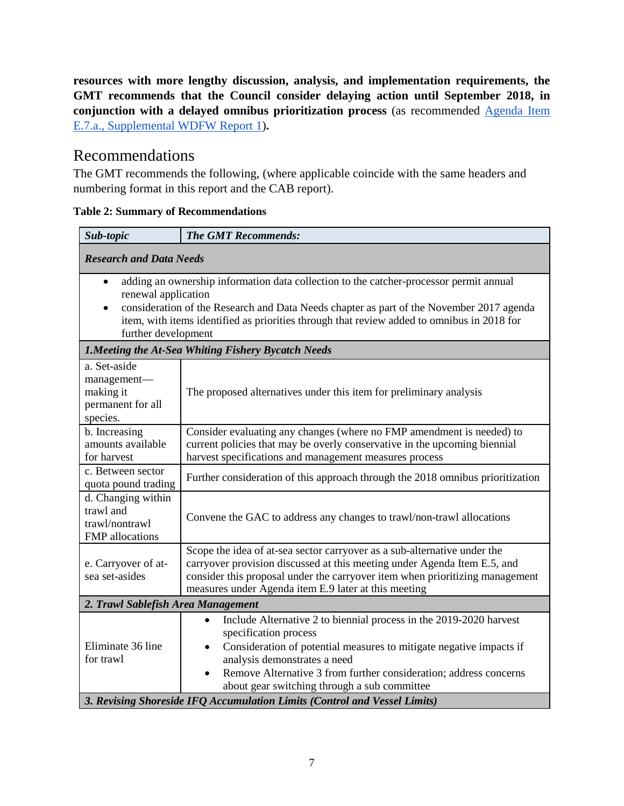**resources with more lengthy discussion, analysis, and implementation requirements, the GMT recommends that the Council consider delaying action until September 2018, in conjunction with a delayed omnibus prioritization process** (as recommended [Agenda Item](http://www.pcouncil.org/wp-content/uploads/2017/08/E7a_WDFW_Rpt1_SEPT2017BB.pdf)  [E.7.a., Supplemental WDFW Report 1\)](http://www.pcouncil.org/wp-content/uploads/2017/08/E7a_WDFW_Rpt1_SEPT2017BB.pdf)**.**

# Recommendations

The GMT recommends the following, (where applicable coincide with the same headers and numbering format in this report and the CAB report).

| Sub-topic                                                                                                                                                                                                                                                                                                                                                | <b>The GMT Recommends:</b>                                                                                                                                                                                                                                                                                                                        |  |
|----------------------------------------------------------------------------------------------------------------------------------------------------------------------------------------------------------------------------------------------------------------------------------------------------------------------------------------------------------|---------------------------------------------------------------------------------------------------------------------------------------------------------------------------------------------------------------------------------------------------------------------------------------------------------------------------------------------------|--|
| <b>Research and Data Needs</b>                                                                                                                                                                                                                                                                                                                           |                                                                                                                                                                                                                                                                                                                                                   |  |
| adding an ownership information data collection to the catcher-processor permit annual<br>$\bullet$<br>renewal application<br>consideration of the Research and Data Needs chapter as part of the November 2017 agenda<br>$\bullet$<br>item, with items identified as priorities through that review added to omnibus in 2018 for<br>further development |                                                                                                                                                                                                                                                                                                                                                   |  |
| <b>1. Meeting the At-Sea Whiting Fishery Bycatch Needs</b>                                                                                                                                                                                                                                                                                               |                                                                                                                                                                                                                                                                                                                                                   |  |
| a. Set-aside<br>management-<br>making it<br>permanent for all<br>species.                                                                                                                                                                                                                                                                                | The proposed alternatives under this item for preliminary analysis                                                                                                                                                                                                                                                                                |  |
| b. Increasing<br>amounts available<br>for harvest                                                                                                                                                                                                                                                                                                        | Consider evaluating any changes (where no FMP amendment is needed) to<br>current policies that may be overly conservative in the upcoming biennial<br>harvest specifications and management measures process                                                                                                                                      |  |
| c. Between sector<br>quota pound trading                                                                                                                                                                                                                                                                                                                 | Further consideration of this approach through the 2018 omnibus prioritization                                                                                                                                                                                                                                                                    |  |
| d. Changing within<br>trawl and<br>trawl/nontrawl<br>FMP allocations                                                                                                                                                                                                                                                                                     | Convene the GAC to address any changes to trawl/non-trawl allocations                                                                                                                                                                                                                                                                             |  |
| e. Carryover of at-<br>sea set-asides                                                                                                                                                                                                                                                                                                                    | Scope the idea of at-sea sector carryover as a sub-alternative under the<br>carryover provision discussed at this meeting under Agenda Item E.5, and<br>consider this proposal under the carryover item when prioritizing management<br>measures under Agenda item E.9 later at this meeting                                                      |  |
| 2. Trawl Sablefish Area Management                                                                                                                                                                                                                                                                                                                       |                                                                                                                                                                                                                                                                                                                                                   |  |
| Eliminate 36 line<br>for trawl                                                                                                                                                                                                                                                                                                                           | Include Alternative 2 to biennial process in the 2019-2020 harvest<br>$\bullet$<br>specification process<br>Consideration of potential measures to mitigate negative impacts if<br>$\bullet$<br>analysis demonstrates a need<br>Remove Alternative 3 from further consideration; address concerns<br>about gear switching through a sub committee |  |
| 3. Revising Shoreside IFQ Accumulation Limits (Control and Vessel Limits)                                                                                                                                                                                                                                                                                |                                                                                                                                                                                                                                                                                                                                                   |  |

**Table 2: Summary of Recommendations**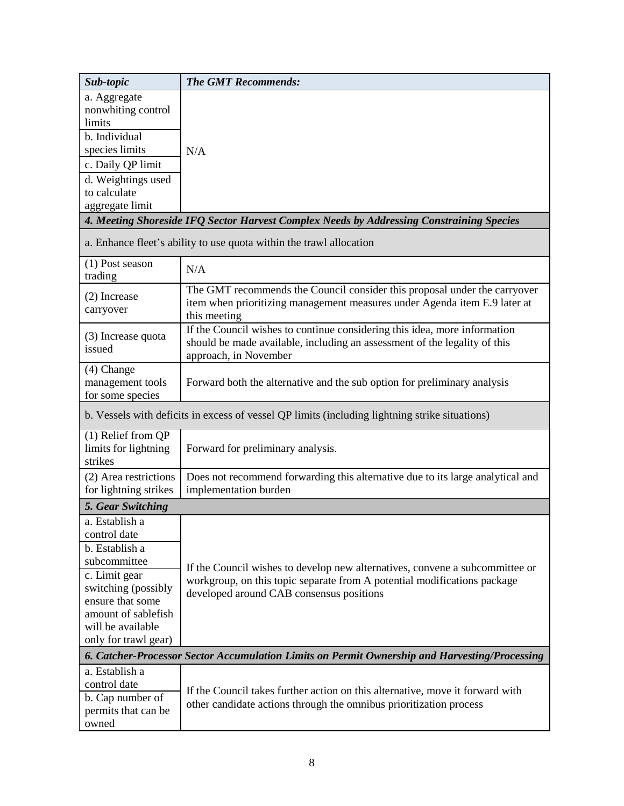| Sub-topic                                                                                      | <b>The GMT Recommends:</b>                                                                                                                                                      |  |  |
|------------------------------------------------------------------------------------------------|---------------------------------------------------------------------------------------------------------------------------------------------------------------------------------|--|--|
| a. Aggregate<br>nonwhiting control<br>limits                                                   |                                                                                                                                                                                 |  |  |
| b. Individual                                                                                  |                                                                                                                                                                                 |  |  |
| species limits                                                                                 | N/A                                                                                                                                                                             |  |  |
| c. Daily QP limit                                                                              |                                                                                                                                                                                 |  |  |
| d. Weightings used                                                                             |                                                                                                                                                                                 |  |  |
| to calculate                                                                                   |                                                                                                                                                                                 |  |  |
| aggregate limit                                                                                | 4. Meeting Shoreside IFQ Sector Harvest Complex Needs by Addressing Constraining Species                                                                                        |  |  |
| a. Enhance fleet's ability to use quota within the trawl allocation                            |                                                                                                                                                                                 |  |  |
| (1) Post season<br>trading                                                                     | N/A                                                                                                                                                                             |  |  |
| (2) Increase<br>carryover                                                                      | The GMT recommends the Council consider this proposal under the carryover<br>item when prioritizing management measures under Agenda item E.9 later at<br>this meeting          |  |  |
| (3) Increase quota<br>issued                                                                   | If the Council wishes to continue considering this idea, more information<br>should be made available, including an assessment of the legality of this<br>approach, in November |  |  |
| $(4)$ Change<br>management tools<br>for some species                                           | Forward both the alternative and the sub option for preliminary analysis                                                                                                        |  |  |
| b. Vessels with deficits in excess of vessel QP limits (including lightning strike situations) |                                                                                                                                                                                 |  |  |
| (1) Relief from QP<br>limits for lightning<br>strikes                                          | Forward for preliminary analysis.                                                                                                                                               |  |  |
| (2) Area restrictions<br>for lightning strikes                                                 | Does not recommend forwarding this alternative due to its large analytical and<br>implementation burden                                                                         |  |  |
| 5. Gear Switching                                                                              |                                                                                                                                                                                 |  |  |
| a. Establish a                                                                                 |                                                                                                                                                                                 |  |  |
| control date                                                                                   |                                                                                                                                                                                 |  |  |
| b. Establish a                                                                                 |                                                                                                                                                                                 |  |  |
| subcommittee                                                                                   | If the Council wishes to develop new alternatives, convene a subcommittee or                                                                                                    |  |  |
| c. Limit gear<br>switching (possibly                                                           | workgroup, on this topic separate from A potential modifications package                                                                                                        |  |  |
| ensure that some                                                                               | developed around CAB consensus positions                                                                                                                                        |  |  |
| amount of sablefish                                                                            |                                                                                                                                                                                 |  |  |
| will be available                                                                              |                                                                                                                                                                                 |  |  |
| only for trawl gear)                                                                           |                                                                                                                                                                                 |  |  |
| 6. Catcher-Processor Sector Accumulation Limits on Permit Ownership and Harvesting/Processing  |                                                                                                                                                                                 |  |  |
| a. Establish a                                                                                 |                                                                                                                                                                                 |  |  |
| control date                                                                                   | If the Council takes further action on this alternative, move it forward with                                                                                                   |  |  |
| b. Cap number of<br>permits that can be<br>owned                                               | other candidate actions through the omnibus prioritization process                                                                                                              |  |  |